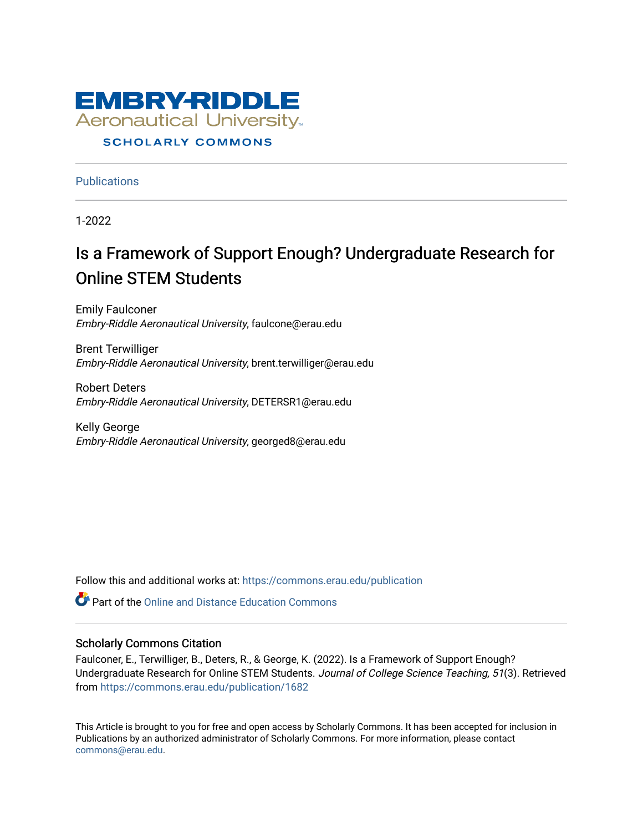

### **SCHOLARLY COMMONS**

**Publications** 

1-2022

## Is a Framework of Support Enough? Undergraduate Research for Online STEM Students

Emily Faulconer Embry-Riddle Aeronautical University, faulcone@erau.edu

Brent Terwilliger Embry-Riddle Aeronautical University, brent.terwilliger@erau.edu

Robert Deters Embry-Riddle Aeronautical University, DETERSR1@erau.edu

Kelly George Embry-Riddle Aeronautical University, georged8@erau.edu

Follow this and additional works at: [https://commons.erau.edu/publication](https://commons.erau.edu/publication?utm_source=commons.erau.edu%2Fpublication%2F1682&utm_medium=PDF&utm_campaign=PDFCoverPages) 

**C** Part of the [Online and Distance Education Commons](http://network.bepress.com/hgg/discipline/1296?utm_source=commons.erau.edu%2Fpublication%2F1682&utm_medium=PDF&utm_campaign=PDFCoverPages)

## Scholarly Commons Citation

Faulconer, E., Terwilliger, B., Deters, R., & George, K. (2022). Is a Framework of Support Enough? Undergraduate Research for Online STEM Students. Journal of College Science Teaching, 51(3). Retrieved from [https://commons.erau.edu/publication/1682](https://commons.erau.edu/publication/1682?utm_source=commons.erau.edu%2Fpublication%2F1682&utm_medium=PDF&utm_campaign=PDFCoverPages) 

This Article is brought to you for free and open access by Scholarly Commons. It has been accepted for inclusion in Publications by an authorized administrator of Scholarly Commons. For more information, please contact [commons@erau.edu](mailto:commons@erau.edu).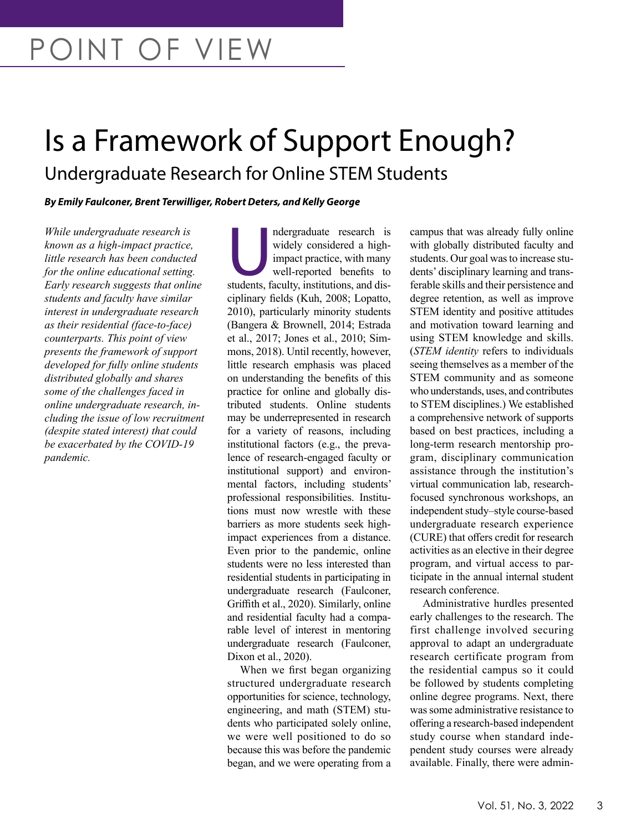# Is a Framework of Support Enough? Undergraduate Research for Online STEM Students

*By Emily Faulconer, Brent Terwilliger, Robert Deters, and Kelly George*

*While undergraduate research is known as a high-impact practice, little research has been conducted for the online educational setting. Early research suggests that online students and faculty have similar interest in undergraduate research as their residential (face-to-face) counterparts. This point of view presents the framework of support developed for fully online students distributed globally and shares some of the challenges faced in online undergraduate research, including the issue of low recruitment (despite stated interest) that could be exacerbated by the COVID-19 pandemic.* 

ndergraduate research is<br>
widely considered a high-<br>
impact practice, with many<br>
well-reported benefits to<br>
students, faculty, institutions, and diswidely considered a highimpact practice, with many well-reported benefits to ciplinary fields (Kuh, 2008; Lopatto, 2010), particularly minority students (Bangera & Brownell, 2014; Estrada et al., 2017; Jones et al., 2010; Simmons, 2018). Until recently, however, little research emphasis was placed on understanding the benefits of this practice for online and globally distributed students. Online students may be underrepresented in research for a variety of reasons, including institutional factors (e.g., the prevalence of research-engaged faculty or institutional support) and environmental factors, including students' professional responsibilities. Institutions must now wrestle with these barriers as more students seek highimpact experiences from a distance. Even prior to the pandemic, online students were no less interested than residential students in participating in undergraduate research (Faulconer, Griffith et al., 2020). Similarly, online and residential faculty had a comparable level of interest in mentoring undergraduate research (Faulconer, Dixon et al., 2020).

When we first began organizing structured undergraduate research opportunities for science, technology, engineering, and math (STEM) students who participated solely online, we were well positioned to do so because this was before the pandemic began, and we were operating from a campus that was already fully online with globally distributed faculty and students. Our goal was to increase students' disciplinary learning and transferable skills and their persistence and degree retention, as well as improve STEM identity and positive attitudes and motivation toward learning and using STEM knowledge and skills. (*STEM identity* refers to individuals seeing themselves as a member of the STEM community and as someone who understands, uses, and contributes to STEM disciplines.) We established a comprehensive network of supports based on best practices, including a long-term research mentorship program, disciplinary communication assistance through the institution's virtual communication lab, researchfocused synchronous workshops, an independent study–style course-based undergraduate research experience (CURE) that offers credit for research activities as an elective in their degree program, and virtual access to participate in the annual internal student research conference.

Administrative hurdles presented early challenges to the research. The first challenge involved securing approval to adapt an undergraduate research certificate program from the residential campus so it could be followed by students completing online degree programs. Next, there was some administrative resistance to offering a research-based independent study course when standard independent study courses were already available. Finally, there were admin-